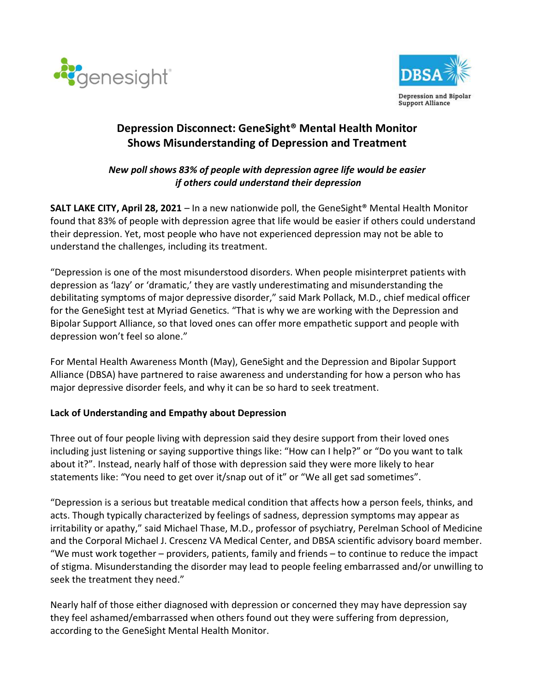



# Depression Disconnect: GeneSight® Mental Health Monitor Shows Misunderstanding of Depression and Treatment

## New poll shows 83% of people with depression agree life would be easier if others could understand their depression

**SALT LAKE CITY, April 28, 2021** – In a new nationwide poll, the GeneSight<sup>®</sup> Mental Health Monitor found that 83% of people with depression agree that life would be easier if others could understand their depression. Yet, most people who have not experienced depression may not be able to understand the challenges, including its treatment.

"Depression is one of the most misunderstood disorders. When people misinterpret patients with depression as 'lazy' or 'dramatic,' they are vastly underestimating and misunderstanding the debilitating symptoms of major depressive disorder," said Mark Pollack, M.D., chief medical officer for the GeneSight test at Myriad Genetics. "That is why we are working with the Depression and Bipolar Support Alliance, so that loved ones can offer more empathetic support and people with depression won't feel so alone."

For Mental Health Awareness Month (May), GeneSight and the Depression and Bipolar Support Alliance (DBSA) have partnered to raise awareness and understanding for how a person who has major depressive disorder feels, and why it can be so hard to seek treatment.

#### Lack of Understanding and Empathy about Depression

Three out of four people living with depression said they desire support from their loved ones including just listening or saying supportive things like: "How can I help?" or "Do you want to talk about it?". Instead, nearly half of those with depression said they were more likely to hear statements like: "You need to get over it/snap out of it" or "We all get sad sometimes".

"Depression is a serious but treatable medical condition that affects how a person feels, thinks, and acts. Though typically characterized by feelings of sadness, depression symptoms may appear as irritability or apathy," said Michael Thase, M.D., professor of psychiatry, Perelman School of Medicine and the Corporal Michael J. Crescenz VA Medical Center, and DBSA scientific advisory board member. "We must work together – providers, patients, family and friends – to continue to reduce the impact of stigma. Misunderstanding the disorder may lead to people feeling embarrassed and/or unwilling to seek the treatment they need."

Nearly half of those either diagnosed with depression or concerned they may have depression say they feel ashamed/embarrassed when others found out they were suffering from depression, according to the GeneSight Mental Health Monitor.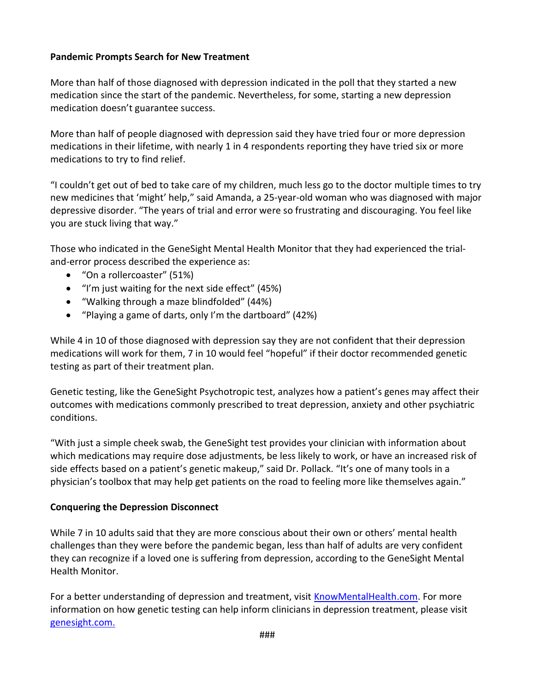#### Pandemic Prompts Search for New Treatment

More than half of those diagnosed with depression indicated in the poll that they started a new medication since the start of the pandemic. Nevertheless, for some, starting a new depression medication doesn't guarantee success.

More than half of people diagnosed with depression said they have tried four or more depression medications in their lifetime, with nearly 1 in 4 respondents reporting they have tried six or more medications to try to find relief.

"I couldn't get out of bed to take care of my children, much less go to the doctor multiple times to try new medicines that 'might' help," said Amanda, a 25-year-old woman who was diagnosed with major depressive disorder. "The years of trial and error were so frustrating and discouraging. You feel like you are stuck living that way."

Those who indicated in the GeneSight Mental Health Monitor that they had experienced the trialand-error process described the experience as:

- "On a rollercoaster" (51%)
- "I'm just waiting for the next side effect" (45%)
- "Walking through a maze blindfolded" (44%)
- "Playing a game of darts, only I'm the dartboard" (42%)

While 4 in 10 of those diagnosed with depression say they are not confident that their depression medications will work for them, 7 in 10 would feel "hopeful" if their doctor recommended genetic testing as part of their treatment plan.

Genetic testing, like the GeneSight Psychotropic test, analyzes how a patient's genes may affect their outcomes with medications commonly prescribed to treat depression, anxiety and other psychiatric conditions.

"With just a simple cheek swab, the GeneSight test provides your clinician with information about which medications may require dose adjustments, be less likely to work, or have an increased risk of side effects based on a patient's genetic makeup," said Dr. Pollack. "It's one of many tools in a physician's toolbox that may help get patients on the road to feeling more like themselves again."

#### Conquering the Depression Disconnect

While 7 in 10 adults said that they are more conscious about their own or others' mental health challenges than they were before the pandemic began, less than half of adults are very confident they can recognize if a loved one is suffering from depression, according to the GeneSight Mental Health Monitor.

For a better understanding of depression and treatment, visit KnowMentalHealth.com. For more information on how genetic testing can help inform clinicians in depression treatment, please visit genesight.com.